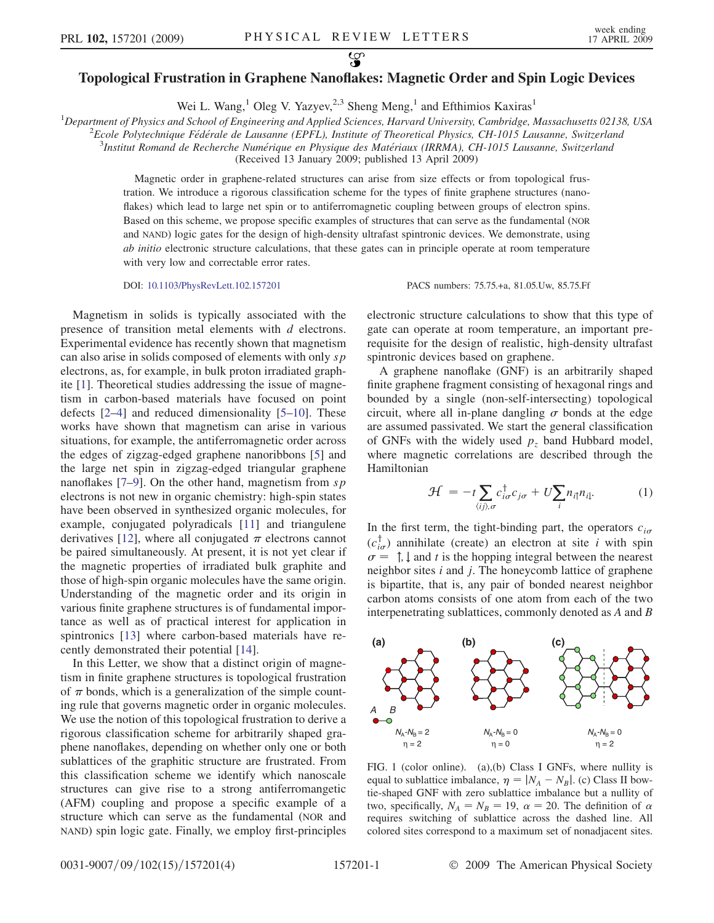## <span id="page-0-0"></span>လ္စာ Topological Frustration in Graphene Nanoflakes: Magnetic Order and Spin Logic Devices

Wei L. Wang,<sup>1</sup> Oleg V. Yazyev,<sup>2,3</sup> Sheng Meng,<sup>1</sup> and Efthimios Kaxiras<sup>1</sup>

<sup>1</sup>Department of Physics and School of Engineering and Applied Sciences, Harvard University, Cambridge, Massachusetts 02138, USA  $^{2}$ Ecole Polytechnique Eédérale de Lausanne (EPEL) Institute of Theoretical Physics CH 1015

 $e^2$ Ecole Polytechnique Fédérale de Lausanne (EPFL), Institute of Theoretical Physics, CH-1015 Lausanne, Switzerland

<sup>3</sup>Institut Romand de Recherche Numérique en Physique des Matériaux (IRRMA), CH-1015 Lausanne, Switzerland

(Received 13 January 2009; published 13 April 2009)

Magnetic order in graphene-related structures can arise from size effects or from topological frustration. We introduce a rigorous classification scheme for the types of finite graphene structures (nanoflakes) which lead to large net spin or to antiferromagnetic coupling between groups of electron spins. Based on this scheme, we propose specific examples of structures that can serve as the fundamental (NOR and NAND) logic gates for the design of high-density ultrafast spintronic devices. We demonstrate, using ab initio electronic structure calculations, that these gates can in principle operate at room temperature with very low and correctable error rates.

Magnetism in solids is typically associated with the presence of transition metal elements with d electrons. Experimental evidence has recently shown that magnetism can also arise in solids composed of elements with only  $sp$ electrons, as, for example, in bulk proton irradiated graphite [1]. Theoretical studies addressing the issue of magnetism in carbon-based materials have focused on point defects [2–4] and reduced dimensionality [5–10]. These works have shown that magnetism can arise in various situations, for example, the antiferromagnetic order across the edges of zigzag-edged graphene nanoribbons [5] and the large net spin in zigzag-edged triangular graphene nanoflakes  $[7-9]$ . On the other hand, magnetism from sp electrons is not new in organic chemistry: high-spin states have been observed in synthesized organic molecules, for example, conjugated polyradicals [11] and triangulene derivatives [12], where all conjugated  $\pi$  electrons cannot be paired simultaneously. At present, it is not yet clear if the magnetic properties of irradiated bulk graphite and those of high-spin organic molecules have the same origin. Understanding of the magnetic order and its origin in various finite graphene structures is of fundamental importance as well as of practical interest for application in spintronics [13] where carbon-based materials have recently demonstrated their potential [14].

In this Letter, we show that a distinct origin of magnetism in finite graphene structures is topological frustration of  $\pi$  bonds, which is a generalization of the simple counting rule that governs magnetic order in organic molecules. We use the notion of this topological frustration to derive a rigorous classification scheme for arbitrarily shaped graphene nanoflakes, depending on whether only one or both sublattices of the graphitic structure are frustrated. From this classification scheme we identify which nanoscale structures can give rise to a strong antiferromangetic (AFM) coupling and propose a specific example of a structure which can serve as the fundamental (NOR and NAND) spin logic gate. Finally, we employ first-principles

DOI: [10.1103/PhysRevLett.102.157201](http://dx.doi.org/10.1103/PhysRevLett.102.157201) PACS numbers: 75.75.+a, 81.05.Uw, 85.75.Ff

electronic structure calculations to show that this type of gate can operate at room temperature, an important prerequisite for the design of realistic, high-density ultrafast spintronic devices based on graphene.

A graphene nanoflake (GNF) is an arbitrarily shaped finite graphene fragment consisting of hexagonal rings and bounded by a single (non-self-intersecting) topological circuit, where all in-plane dangling  $\sigma$  bonds at the edge are assumed passivated. We start the general classification of GNFs with the widely used  $p<sub>z</sub>$  band Hubbard model, where magnetic correlations are described through the Hamiltonian

$$
\mathcal{H} = -t \sum_{\langle ij \rangle, \sigma} c_{i\sigma}^{\dagger} c_{j\sigma} + U \sum_{i} n_{i\uparrow} n_{i\downarrow}.
$$
 (1)

In the first term, the tight-binding part, the operators  $c_{i\sigma}$  $(c_{i\sigma}^{\dagger})$  annihilate (create) an electron at site *i* with spin  $\sigma = \uparrow, \downarrow$  and t is the hopping integral between the nearest<br>neighbor sites i and i. The honeycomb lattice of graphene neighbor sites  $i$  and  $j$ . The honeycomb lattice of graphene is bipartite, that is, any pair of bonded nearest neighbor carbon atoms consists of one atom from each of the two interpenetrating sublattices, commonly denoted as A and B



FIG. 1 (color online). (a),(b) Class I GNFs, where nullity is equal to sublattice imbalance,  $\eta = |N_A - N_B|$ . (c) Class II bowtie-shaped GNF with zero sublattice imbalance but a nullity of two, specifically,  $N_A = N_B = 19$ ,  $\alpha = 20$ . The definition of  $\alpha$ requires switching of sublattice across the dashed line. All colored sites correspond to a maximum set of nonadjacent sites.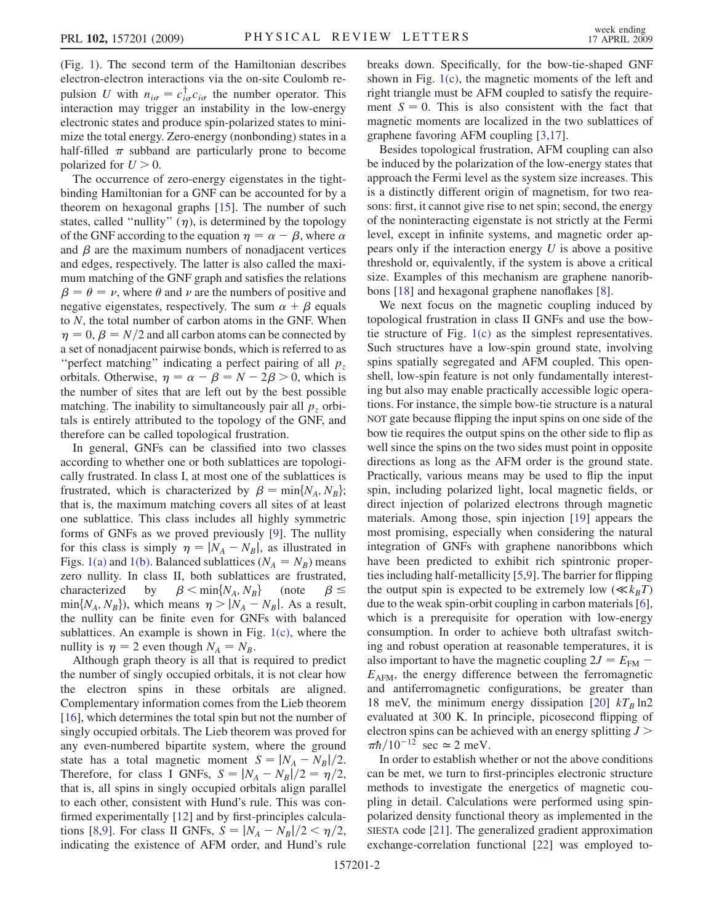(Fig. [1\)](#page-0-0). The second term of the Hamiltonian describes electron-electron interactions via the on-site Coulomb repulsion U with  $n_{i\sigma} = c_{i\sigma}^{\dagger} c_{i\sigma}$  the number operator. This interaction may trigger an instability in the low-energy interaction may trigger an instability in the low-energy electronic states and produce spin-polarized states to minimize the total energy. Zero-energy (nonbonding) states in a half-filled  $\pi$  subband are particularly prone to become polarized for  $U > 0$ .

The occurrence of zero-energy eigenstates in the tightbinding Hamiltonian for a GNF can be accounted for by a theorem on hexagonal graphs [15]. The number of such states, called "nullity"  $(\eta)$ , is determined by the topology of the GNF according to the equation  $\eta = \alpha - \beta$ , where  $\alpha$ and  $\beta$  are the maximum numbers of nonadjacent vertices and edges, respectively. The latter is also called the maximum matching of the GNF graph and satisfies the relations  $\beta = \theta = \nu$ , where  $\theta$  and  $\nu$  are the numbers of positive and negative eigenstates, respectively. The sum  $\alpha + \beta$  equals to  $N$ , the total number of carbon atoms in the GNF. When  $\eta = 0$ ,  $\beta = N/2$  and all carbon atoms can be connected by a set of nonadjacent pairwise bonds, which is referred to as "perfect matching" indicating a perfect pairing of all  $p<sub>z</sub>$ orbitals. Otherwise,  $\eta = \alpha - \beta = N - 2\beta > 0$ , which is the number of sites that are left out by the best possible matching. The inability to simultaneously pair all  $p<sub>z</sub>$  orbitals is entirely attributed to the topology of the GNF, and therefore can be called topological frustration.

In general, GNFs can be classified into two classes according to whether one or both sublattices are topologically frustrated. In class I, at most one of the sublattices is frustrated, which is characterized by  $\beta = \min\{N_A, N_B\};$ that is, the maximum matching covers all sites of at least one sublattice. This class includes all highly symmetric forms of GNFs as we proved previously [9]. The nullity for this class is simply  $\eta = |N_A - N_B|$ , as illustrated in Figs. [1\(a\)](#page-0-0) and [1\(b\).](#page-0-0) Balanced sublattices ( $N_A = N_B$ ) means zero nullity. In class II, both sublattices are frustrated, characterized by  $\beta \le \min\{N_A, N_B\}$  (note  $\beta \le \min\{N_A, N_B\}$  which means  $n > |N_A - N_B|$  As a result  $\beta \leq$  $\min\{N_A, N_B\}$ , which means  $\eta > |N_A - N_B|$ . As a result, the nullity can be finite even for GNFs with belanced the nullity can be finite even for GNFs with balanced sublattices. An example is shown in Fig. [1\(c\),](#page-0-0) where the nullity is  $\eta = 2$  even though  $N_A = N_B$ .

Although graph theory is all that is required to predict the number of singly occupied orbitals, it is not clear how the electron spins in these orbitals are aligned. Complementary information comes from the Lieb theorem [16], which determines the total spin but not the number of singly occupied orbitals. The Lieb theorem was proved for any even-numbered bipartite system, where the ground state has a total magnetic moment  $S = |N_A - N_B|/2$ . Therefore, for class I GNFs,  $S = |N_A - N_B|/2 = \eta/2$ , that is, all spins in singly occupied orbitals align parallel to each other, consistent with Hund's rule. This was confirmed experimentally [12] and by first-principles calculations [8,9]. For class II GNFs,  $S = |N_A - N_B|/2 < \eta/2$ , indicating the existence of AFM order, and Hund's rule breaks down. Specifically, for the bow-tie-shaped GNF shown in Fig. [1\(c\),](#page-0-0) the magnetic moments of the left and right triangle must be AFM coupled to satisfy the requirement  $S = 0$ . This is also consistent with the fact that magnetic moments are localized in the two sublattices of graphene favoring AFM coupling [3,17].

Besides topological frustration, AFM coupling can also be induced by the polarization of the low-energy states that approach the Fermi level as the system size increases. This is a distinctly different origin of magnetism, for two reasons: first, it cannot give rise to net spin; second, the energy of the noninteracting eigenstate is not strictly at the Fermi level, except in infinite systems, and magnetic order appears only if the interaction energy  $U$  is above a positive threshold or, equivalently, if the system is above a critical size. Examples of this mechanism are graphene nanoribbons [18] and hexagonal graphene nanoflakes [8].

We next focus on the magnetic coupling induced by topological frustration in class II GNFs and use the bowtie structure of Fig. [1\(c\)](#page-0-0) as the simplest representatives. Such structures have a low-spin ground state, involving spins spatially segregated and AFM coupled. This openshell, low-spin feature is not only fundamentally interesting but also may enable practically accessible logic operations. For instance, the simple bow-tie structure is a natural NOT gate because flipping the input spins on one side of the bow tie requires the output spins on the other side to flip as well since the spins on the two sides must point in opposite directions as long as the AFM order is the ground state. Practically, various means may be used to flip the input spin, including polarized light, local magnetic fields, or direct injection of polarized electrons through magnetic materials. Among those, spin injection [19] appears the most promising, especially when considering the natural integration of GNFs with graphene nanoribbons which have been predicted to exhibit rich spintronic properties including half-metallicity [5,9]. The barrier for flipping the output spin is expected to be extremely low  $(\ll k_BT)$ due to the weak spin-orbit coupling in carbon materials [6], which is a prerequisite for operation with low-energy consumption. In order to achieve both ultrafast switching and robust operation at reasonable temperatures, it is also important to have the magnetic coupling  $2J = E_{\text{FM}}$  –  $E<sub>AFM</sub>$ , the energy difference between the ferromagnetic and antiferromagnetic configurations, be greater than 18 meV, the minimum energy dissipation [20]  $kT_B$  ln2 evaluated at 300 K. In principle, picosecond flipping of electron spins can be achieved with an energy splitting  $J$  >  $\pi h/10^{-12}$  sec  $\simeq$  2 meV.

In order to establish whether or not the above conditions can be met, we turn to first-principles electronic structure methods to investigate the energetics of magnetic coupling in detail. Calculations were performed using spinpolarized density functional theory as implemented in the SIESTA code [21]. The generalized gradient approximation exchange-correlation functional [22] was employed to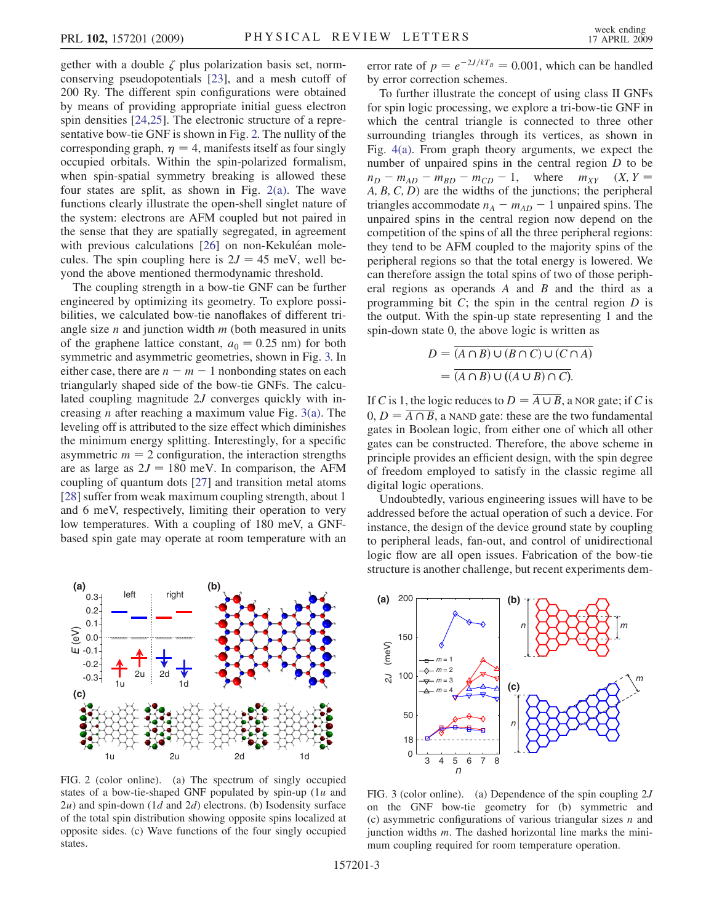gether with a double  $\zeta$  plus polarization basis set, normconserving pseudopotentials [23], and a mesh cutoff of 200 Ry. The different spin configurations were obtained by means of providing appropriate initial guess electron spin densities [24,25]. The electronic structure of a representative bow-tie GNF is shown in Fig. 2. The nullity of the corresponding graph,  $\eta = 4$ , manifests itself as four singly occupied orbitals. Within the spin-polarized formalism, when spin-spatial symmetry breaking is allowed these four states are split, as shown in Fig.  $2(a)$ . The wave functions clearly illustrate the open-shell singlet nature of the system: electrons are AFM coupled but not paired in the sense that they are spatially segregated, in agreement with previous calculations [26] on non-Kekuléan molecules. The spin coupling here is  $2J = 45$  meV, well beyond the above mentioned thermodynamic threshold.

The coupling strength in a bow-tie GNF can be further engineered by optimizing its geometry. To explore possibilities, we calculated bow-tie nanoflakes of different triangle size  $n$  and junction width  $m$  (both measured in units of the graphene lattice constant,  $a_0 = 0.25$  nm) for both symmetric and asymmetric geometries, shown in Fig. 3. In either case, there are  $n - m - 1$  nonbonding states on each triangularly shaped side of the bow-tie GNFs. The calculated coupling magnitude 2J converges quickly with increasing *n* after reaching a maximum value Fig.  $3(a)$ . The leveling off is attributed to the size effect which diminishes the minimum energy splitting. Interestingly, for a specific asymmetric  $m = 2$  configuration, the interaction strengths are as large as  $2J = 180$  meV. In comparison, the AFM coupling of quantum dots [27] and transition metal atoms [28] suffer from weak maximum coupling strength, about 1 and 6 meV, respectively, limiting their operation to very low temperatures. With a coupling of 180 meV, a GNFbased spin gate may operate at room temperature with an



FIG. 2 (color online). (a) The spectrum of singly occupied states of a bow-tie-shaped GNF populated by spin-up  $(1u$  and  $2u$ ) and spin-down (1d and  $2d$ ) electrons. (b) Isodensity surface of the total spin distribution showing opposite spins localized at opposite sides. (c) Wave functions of the four singly occupied states.

error rate of  $p = e^{-2J/kT_B} = 0.001$ , which can be handled by error correction schemes.

To further illustrate the concept of using class II GNFs for spin logic processing, we explore a tri-bow-tie GNF in which the central triangle is connected to three other surrounding triangles through its vertices, as shown in Fig. [4\(a\)](#page-3-0). From graph theory arguments, we expect the number of unpaired spins in the central region D to be  $n_D - m_{AD} - m_{BD} - m_{CD} - 1$ , where  $m_{XY}$  (X, Y =  $A, B, C, D$  are the widths of the junctions; the peripheral triangles accommodate  $n_A - m_{AD} - 1$  unpaired spins. The unpaired spins in the central region now depend on the competition of the spins of all the three peripheral regions: they tend to be AFM coupled to the majority spins of the peripheral regions so that the total energy is lowered. We can therefore assign the total spins of two of those peripheral regions as operands  $A$  and  $B$  and the third as a programming bit  $C$ ; the spin in the central region  $D$  is the output. With the spin-up state representing 1 and the spin-down state 0, the above logic is written as

$$
D = \overline{(A \cap B) \cup (B \cap C) \cup (C \cap A)}
$$
  
= 
$$
\overline{(A \cap B) \cup ((A \cup B) \cap C)}.
$$

If C is 1, the logic reduces to  $D = \overline{A \cup B}$ , a NOR gate; if C is  $0, D = \overline{A \cap B}$ , a NAND gate: these are the two fundamental gates in Boolean logic, from either one of which all other gates can be constructed. Therefore, the above scheme in principle provides an efficient design, with the spin degree of freedom employed to satisfy in the classic regime all digital logic operations.

Undoubtedly, various engineering issues will have to be addressed before the actual operation of such a device. For instance, the design of the device ground state by coupling to peripheral leads, fan-out, and control of unidirectional logic flow are all open issues. Fabrication of the bow-tie structure is another challenge, but recent experiments dem-



FIG. 3 (color online). (a) Dependence of the spin coupling  $2J$ on the GNF bow-tie geometry for (b) symmetric and (c) asymmetric configurations of various triangular sizes  $n$  and junction widths  $m$ . The dashed horizontal line marks the minimum coupling required for room temperature operation.